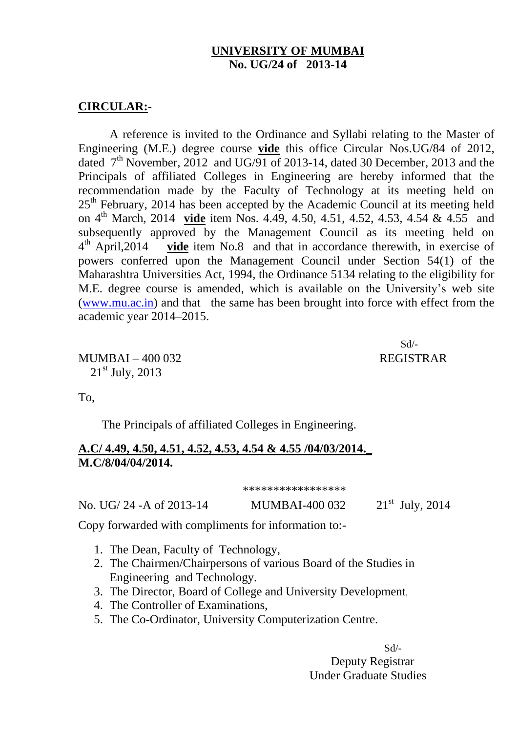## **UNIVERSITY OF MUMBAI No. UG/24 of 2013-14**

## **CIRCULAR:-**

A reference is invited to the Ordinance and Syllabi relating to the Master of Engineering (M.E.) degree course **vide** this office Circular Nos.UG/84 of 2012, dated  $7<sup>th</sup>$  November, 2012 and UG/91 of 2013-14, dated 30 December, 2013 and the Principals of affiliated Colleges in Engineering are hereby informed that the recommendation made by the Faculty of Technology at its meeting held on 25<sup>th</sup> February, 2014 has been accepted by the Academic Council at its meeting held on 4 th March, 2014 **vide** item Nos. 4.49, 4.50, 4.51, 4.52, 4.53, 4.54 & 4.55 and subsequently approved by the Management Council as its meeting held on  $4^{\text{th}}$  April, 2014 vide item No.8 and that in accordance therewith, in exercise of powers conferred upon the Management Council under Section 54(1) of the Maharashtra Universities Act, 1994, the Ordinance 5134 relating to the eligibility for M.E. degree course is amended, which is available on the University's web site [\(www.mu.ac.in\)](http://www.mu.ac.in/) and that the same has been brought into force with effect from the academic year 2014–2015.

Sd/-

MUMBAI – 400 032 REGISTRAR  $21<sup>st</sup>$  July, 2013

To,

The Principals of affiliated Colleges in Engineering.

## **A.C/ 4.49, 4.50, 4.51, 4.52, 4.53, 4.54 & 4.55 /04/03/2014.\_ M.C/8/04/04/2014.**

\*\*\*\*\*\*\*\*\*\*\*\*\*\*\*\*\*

No. UG/ 24 -A of 2013-14 MUMBAI-400 032 21<sup>st</sup> July, 2014

Copy forwarded with compliments for information to:-

- 1. The Dean, Faculty of Technology,
- 2. The Chairmen/Chairpersons of various Board of the Studies in Engineering and Technology.
- 3. The Director, Board of College and University Development,
- 4. The Controller of Examinations,
- 5. The Co-Ordinator, University Computerization Centre. [

Sd/- Deputy Registrar Under Graduate Studies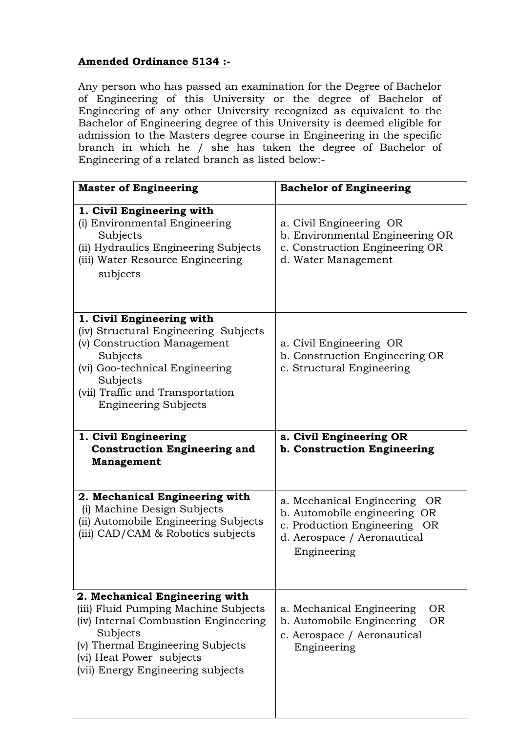## **Amended Ordinance 5134 :-**

Any person who has passed an examination for the Degree of Bachelor of Engineering of this University or the degree of Bachelor of Engineering of any other University recognized as equivalent to the Bachelor of Engineering degree of this University is deemed eligible for admission to the Masters degree course in Engineering in the specific branch in which he / she has taken the degree of Bachelor of Engineering of a related branch as listed below:-

| <b>Master of Engineering</b>                                                                                                                                                                                                    | <b>Bachelor of Engineering</b>                                                                                                                 |
|---------------------------------------------------------------------------------------------------------------------------------------------------------------------------------------------------------------------------------|------------------------------------------------------------------------------------------------------------------------------------------------|
| 1. Civil Engineering with<br>(i) Environmental Engineering<br>Subjects<br>(ii) Hydraulics Engineering Subjects<br>(iii) Water Resource Engineering<br>subjects                                                                  | a. Civil Engineering OR<br>b. Environmental Engineering OR<br>c. Construction Engineering OR<br>d. Water Management                            |
| 1. Civil Engineering with<br>(iv) Structural Engineering Subjects<br>(v) Construction Management<br>Subjects<br>(vi) Goo-technical Engineering<br>Subjects<br>(vii) Traffic and Transportation<br><b>Engineering Subjects</b>   | a. Civil Engineering OR<br>b. Construction Engineering OR<br>c. Structural Engineering                                                         |
| 1. Civil Engineering<br><b>Construction Engineering and</b><br><b>Management</b>                                                                                                                                                | a. Civil Engineering OR<br>b. Construction Engineering                                                                                         |
| 2. Mechanical Engineering with<br>(i) Machine Design Subjects<br>(ii) Automobile Engineering Subjects<br>(iii) CAD/CAM & Robotics subjects                                                                                      | a. Mechanical Engineering<br>OR.<br>b. Automobile engineering OR<br>c. Production Engineering OR<br>d. Aerospace / Aeronautical<br>Engineering |
| 2. Mechanical Engineering with<br>(iii) Fluid Pumping Machine Subjects<br>(iv) Internal Combustion Engineering<br>Subjects<br>(v) Thermal Engineering Subjects<br>(vi) Heat Power subjects<br>(vii) Energy Engineering subjects | a. Mechanical Engineering<br><b>OR</b><br>b. Automobile Engineering<br><b>OR</b><br>c. Aerospace / Aeronautical<br>Engineering                 |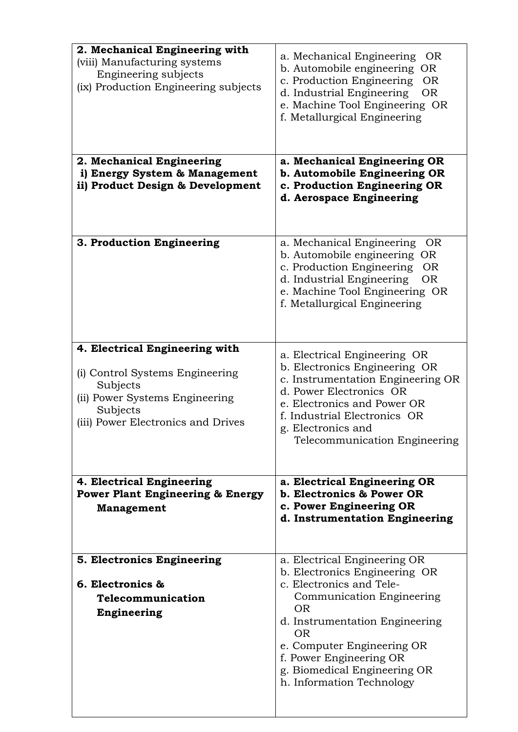| 2. Mechanical Engineering with              |                                                                                  |
|---------------------------------------------|----------------------------------------------------------------------------------|
| (viii) Manufacturing systems                | a. Mechanical Engineering<br><b>OR</b><br>b. Automobile engineering<br><b>OR</b> |
| Engineering subjects                        | c. Production Engineering<br><b>OR</b>                                           |
| (ix) Production Engineering subjects        | d. Industrial Engineering<br><b>OR</b>                                           |
|                                             | e. Machine Tool Engineering OR                                                   |
|                                             | f. Metallurgical Engineering                                                     |
|                                             |                                                                                  |
|                                             |                                                                                  |
| 2. Mechanical Engineering                   | a. Mechanical Engineering OR                                                     |
| i) Energy System & Management               | b. Automobile Engineering OR                                                     |
| ii) Product Design & Development            | c. Production Engineering OR                                                     |
|                                             | d. Aerospace Engineering                                                         |
|                                             |                                                                                  |
|                                             |                                                                                  |
| 3. Production Engineering                   | a. Mechanical Engineering<br><b>OR</b><br>b. Automobile engineering OR           |
|                                             | c. Production Engineering<br><b>OR</b>                                           |
|                                             | d. Industrial Engineering<br><b>OR</b>                                           |
|                                             | e. Machine Tool Engineering OR                                                   |
|                                             | f. Metallurgical Engineering                                                     |
|                                             |                                                                                  |
|                                             |                                                                                  |
| 4. Electrical Engineering with              | a. Electrical Engineering OR                                                     |
|                                             | b. Electronics Engineering OR                                                    |
| (i) Control Systems Engineering             | c. Instrumentation Engineering OR                                                |
| Subjects<br>(ii) Power Systems Engineering  | d. Power Electronics OR                                                          |
| Subjects                                    | e. Electronics and Power OR                                                      |
| (iii) Power Electronics and Drives          | f. Industrial Electronics OR                                                     |
|                                             | g. Electronics and<br>Telecommunication Engineering                              |
|                                             |                                                                                  |
|                                             |                                                                                  |
| 4. Electrical Engineering                   | a. Electrical Engineering OR                                                     |
| <b>Power Plant Engineering &amp; Energy</b> | b. Electronics & Power OR                                                        |
| Management                                  | c. Power Engineering OR<br>d. Instrumentation Engineering                        |
|                                             |                                                                                  |
|                                             |                                                                                  |
| 5. Electronics Engineering                  | a. Electrical Engineering OR                                                     |
|                                             | b. Electronics Engineering OR                                                    |
| 6. Electronics &                            | c. Electronics and Tele-                                                         |
| Telecommunication                           | Communication Engineering<br><b>OR</b>                                           |
| Engineering                                 | d. Instrumentation Engineering<br><b>OR</b>                                      |
|                                             | e. Computer Engineering OR                                                       |
|                                             | f. Power Engineering OR                                                          |
|                                             | g. Biomedical Engineering OR                                                     |
|                                             | h. Information Technology                                                        |
|                                             |                                                                                  |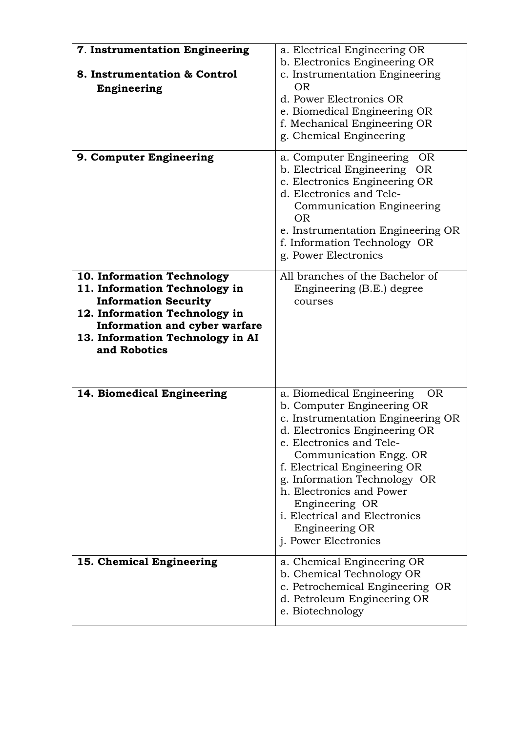| 7. Instrumentation Engineering<br>8. Instrumentation & Control<br>Engineering                                                                                                                                    | a. Electrical Engineering OR<br>b. Electronics Engineering OR<br>c. Instrumentation Engineering<br><b>OR</b><br>d. Power Electronics OR<br>e. Biomedical Engineering OR<br>f. Mechanical Engineering OR<br>g. Chemical Engineering                                                                                                                                                                      |
|------------------------------------------------------------------------------------------------------------------------------------------------------------------------------------------------------------------|---------------------------------------------------------------------------------------------------------------------------------------------------------------------------------------------------------------------------------------------------------------------------------------------------------------------------------------------------------------------------------------------------------|
| 9. Computer Engineering                                                                                                                                                                                          | a. Computer Engineering<br>OR.<br>b. Electrical Engineering OR<br>c. Electronics Engineering OR<br>d. Electronics and Tele-<br>Communication Engineering<br><b>OR</b><br>e. Instrumentation Engineering OR<br>f. Information Technology OR<br>g. Power Electronics                                                                                                                                      |
| 10. Information Technology<br>11. Information Technology in<br><b>Information Security</b><br>12. Information Technology in<br>Information and cyber warfare<br>13. Information Technology in AI<br>and Robotics | All branches of the Bachelor of<br>Engineering (B.E.) degree<br>courses                                                                                                                                                                                                                                                                                                                                 |
| 14. Biomedical Engineering                                                                                                                                                                                       | a. Biomedical Engineering<br><b>OR</b><br>b. Computer Engineering OR<br>c. Instrumentation Engineering OR<br>d. Electronics Engineering OR<br>e. Electronics and Tele-<br>Communication Engg. OR<br>f. Electrical Engineering OR<br>g. Information Technology OR<br>h. Electronics and Power<br>Engineering OR<br><i>i.</i> Electrical and Electronics<br>Engineering OR<br><i>i.</i> Power Electronics |
| 15. Chemical Engineering                                                                                                                                                                                         | a. Chemical Engineering OR<br>b. Chemical Technology OR<br>c. Petrochemical Engineering OR<br>d. Petroleum Engineering OR<br>e. Biotechnology                                                                                                                                                                                                                                                           |